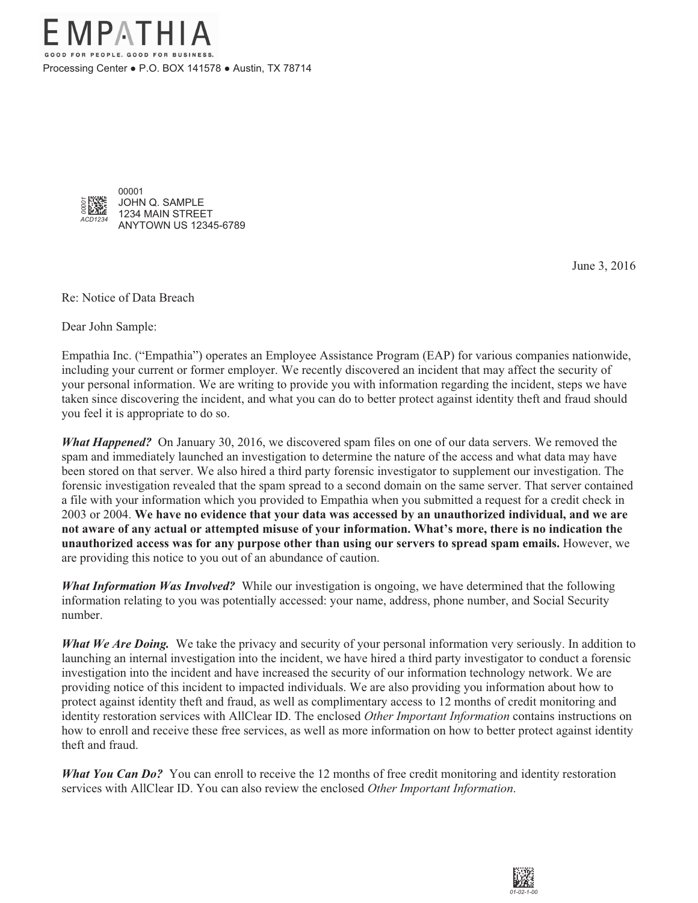

June 3, 2016

Re: Notice of Data Breach

Dear John Sample:

Empathia Inc. ("Empathia") operates an Employee Assistance Program (EAP) for various companies nationwide, including your current or former employer. We recently discovered an incident that may affect the security of your personal information. We are writing to provide you with information regarding the incident, steps we have taken since discovering the incident, and what you can do to better protect against identity theft and fraud should you feel it is appropriate to do so.

*What Happened?* On January 30, 2016, we discovered spam files on one of our data servers. We removed the spam and immediately launched an investigation to determine the nature of the access and what data may have been stored on that server. We also hired a third party forensic investigator to supplement our investigation. The forensic investigation revealed that the spam spread to a second domain on the same server. That server contained a file with your information which you provided to Empathia when you submitted a request for a credit check in 2003 or 2004. **We have no evidence that your data was accessed by an unauthorized individual, and we are not aware of any actual or attempted misuse of your information. What's more, there is no indication the unauthorized access was for any purpose other than using our servers to spread spam emails.** However, we are providing this notice to you out of an abundance of caution.

*What Information Was Involved?* While our investigation is ongoing, we have determined that the following information relating to you was potentially accessed: your name, address, phone number, and Social Security number.

*What We Are Doing.* We take the privacy and security of your personal information very seriously. In addition to launching an internal investigation into the incident, we have hired a third party investigator to conduct a forensic investigation into the incident and have increased the security of our information technology network. We are providing notice of this incident to impacted individuals. We are also providing you information about how to protect against identity theft and fraud, as well as complimentary access to 12 months of credit monitoring and identity restoration services with AllClear ID. The enclosed *Other Important Information* contains instructions on how to enroll and receive these free services, as well as more information on how to better protect against identity theft and fraud.

*What You Can Do?* You can enroll to receive the 12 months of free credit monitoring and identity restoration services with AllClear ID. You can also review the enclosed *Other Important Information*.

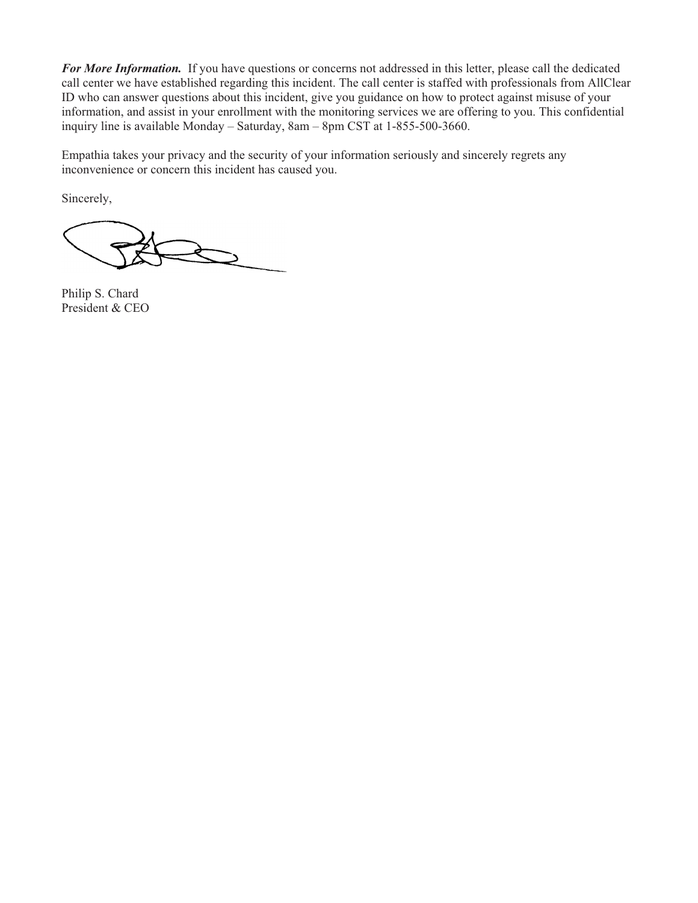*For More Information.* If you have questions or concerns not addressed in this letter, please call the dedicated call center we have established regarding this incident. The call center is staffed with professionals from AllClear ID who can answer questions about this incident, give you guidance on how to protect against misuse of your information, and assist in your enrollment with the monitoring services we are offering to you. This confidential inquiry line is available Monday – Saturday, 8am – 8pm CST at 1-855-500-3660.

Empathia takes your privacy and the security of your information seriously and sincerely regrets any inconvenience or concern this incident has caused you.

Sincerely,

Philip S. Chard President & CEO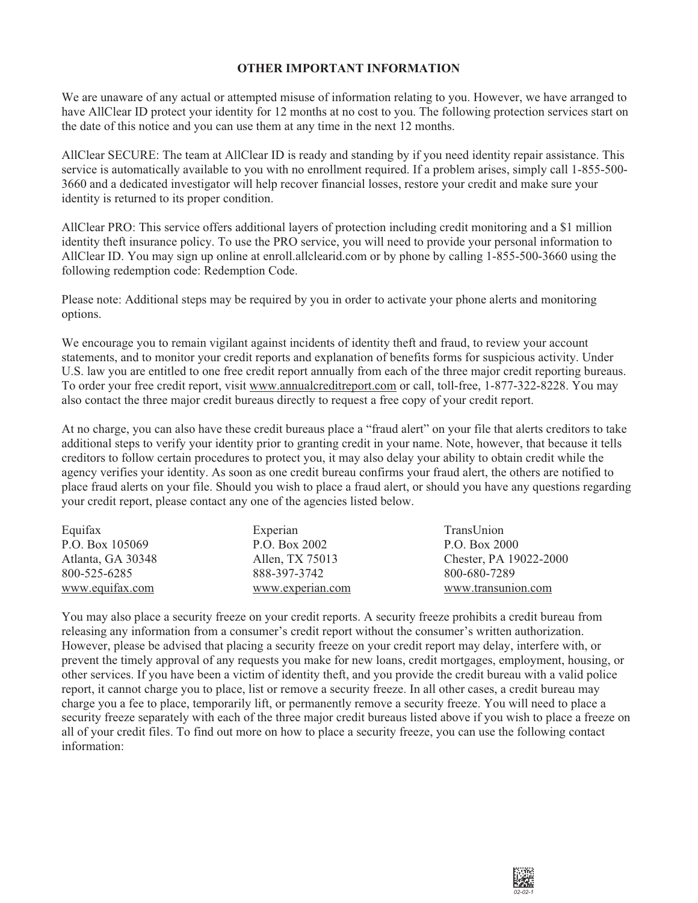## **OTHER IMPORTANT INFORMATION**

We are unaware of any actual or attempted misuse of information relating to you. However, we have arranged to have AllClear ID protect your identity for 12 months at no cost to you. The following protection services start on the date of this notice and you can use them at any time in the next 12 months.

AllClear SECURE: The team at AllClear ID is ready and standing by if you need identity repair assistance. This service is automatically available to you with no enrollment required. If a problem arises, simply call 1-855-500- 3660 and a dedicated investigator will help recover financial losses, restore your credit and make sure your identity is returned to its proper condition.

AllClear PRO: This service offers additional layers of protection including credit monitoring and a \$1 million identity theft insurance policy. To use the PRO service, you will need to provide your personal information to AllClear ID. You may sign up online at enroll.allclearid.com or by phone by calling 1-855-500-3660 using the following redemption code: Redemption Code.

Please note: Additional steps may be required by you in order to activate your phone alerts and monitoring options.

We encourage you to remain vigilant against incidents of identity theft and fraud, to review your account statements, and to monitor your credit reports and explanation of benefits forms for suspicious activity. Under U.S. law you are entitled to one free credit report annually from each of the three major credit reporting bureaus. To order your free credit report, visit www.annualcreditreport.com or call, toll-free, 1-877-322-8228. You may also contact the three major credit bureaus directly to request a free copy of your credit report.

At no charge, you can also have these credit bureaus place a "fraud alert" on your file that alerts creditors to take additional steps to verify your identity prior to granting credit in your name. Note, however, that because it tells creditors to follow certain procedures to protect you, it may also delay your ability to obtain credit while the agency verifies your identity. As soon as one credit bureau confirms your fraud alert, the others are notified to place fraud alerts on your file. Should you wish to place a fraud alert, or should you have any questions regarding your credit report, please contact any one of the agencies listed below.

| Equifax           | Experian         | TransUnion             |
|-------------------|------------------|------------------------|
| P.O. Box 105069   | P.O. Box 2002    | P.O. Box 2000          |
| Atlanta, GA 30348 | Allen, TX 75013  | Chester, PA 19022-2000 |
| 800-525-6285      | 888-397-3742     | 800-680-7289           |
| www.equifax.com   | www.experian.com | www.transunion.com     |

You may also place a security freeze on your credit reports. A security freeze prohibits a credit bureau from releasing any information from a consumer's credit report without the consumer's written authorization. However, please be advised that placing a security freeze on your credit report may delay, interfere with, or prevent the timely approval of any requests you make for new loans, credit mortgages, employment, housing, or other services. If you have been a victim of identity theft, and you provide the credit bureau with a valid police report, it cannot charge you to place, list or remove a security freeze. In all other cases, a credit bureau may charge you a fee to place, temporarily lift, or permanently remove a security freeze. You will need to place a security freeze separately with each of the three major credit bureaus listed above if you wish to place a freeze on all of your credit files. To find out more on how to place a security freeze, you can use the following contact information: